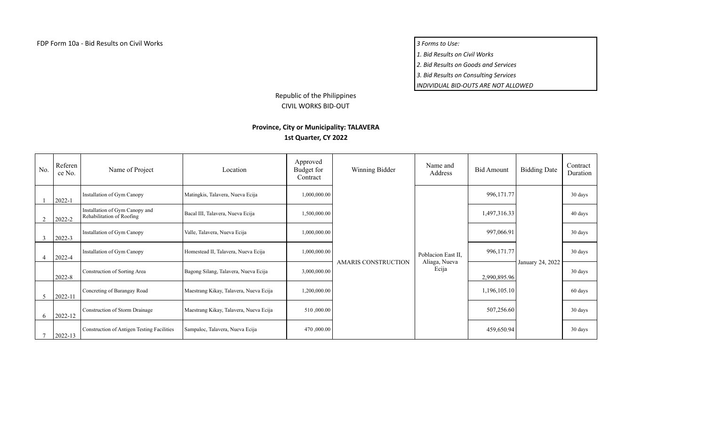*1. Bid Results on Civil Works*

*2. Bid Results on Goods and Services*

*3. Bid Results on Consulting Services*

*INDIVIDUAL BID-OUTS ARE NOT ALLOWED*

Republic of the Philippines CIVIL WORKS BID-OUT

## **Province, City or Municipality: TALAVERA**

## **1st Quarter, CY 2022**

| No. | Referen<br>ce No. | Name of Project                                             | Location                               | Approved<br>Budget for<br>Contract | Winning Bidder             | Name and<br>Address                          | <b>Bid Amount</b> | <b>Bidding Date</b> | Contract<br>Duration |
|-----|-------------------|-------------------------------------------------------------|----------------------------------------|------------------------------------|----------------------------|----------------------------------------------|-------------------|---------------------|----------------------|
|     | $2022 - 1$        | Installation of Gym Canopy                                  | Matingkis, Talavera, Nueva Ecija       | 1,000,000.00                       |                            | Poblacion East II,<br>Aliaga, Nueva<br>Ecija | 996,171.77        | January 24, 2022    | 30 days              |
|     | 2022-2            | Installation of Gym Canopy and<br>Rehabilitation of Roofing | Bacal III, Talavera, Nueva Ecija       | 1,500,000.00                       |                            |                                              | 1,497,316.33      |                     | 40 days              |
|     | 2022-3            | Installation of Gym Canopy                                  | Valle, Talavera, Nueva Ecija           | 1,000,000.00                       |                            |                                              | 997,066.91        |                     | 30 days              |
|     | 2022-4            | Installation of Gym Canopy                                  | Homestead II, Talavera, Nueva Ecija    | 1,000,000.00                       |                            |                                              | 996,171.77        |                     | 30 days              |
|     | 2022-8            | Construction of Sorting Area                                | Bagong Silang, Talavera, Nueva Ecija   | 3,000,000.00                       | <b>AMARIS CONSTRUCTION</b> |                                              | 2,990,895.96      |                     | 30 days              |
| 5   | 2022-11           | Concreting of Barangay Road                                 | Maestrang Kikay, Talavera, Nueva Ecija | 1,200,000.00                       |                            |                                              | 1,196,105.10      |                     | 60 days              |
| 6   | 2022-12           | Construction of Storm Drainage                              | Maestrang Kikay, Talavera, Nueva Ecija | 510,000.00                         |                            |                                              | 507,256.60        |                     | 30 days              |
|     | 2022-13           | Construction of Antigen Testing Facilities                  | Sampaloc, Talavera, Nueva Ecija        | 470,000.00                         |                            |                                              | 459,650.94        |                     | 30 days              |